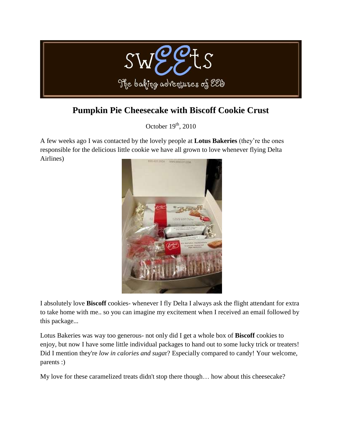

# **[Pumpkin Pie Cheesecake with Biscoff Cookie Crust](http://sweetebakes.blogspot.com/2010/10/pumpkin-pie-cheesecake-with-biscoff.html)**

October  $19<sup>th</sup>$ , 2010

A few weeks ago I was contacted by the lovely people at **Lotus Bakeries** (they're the ones responsible for the delicious little cookie we have all grown to love whenever flying Delta Airlines)



I absolutely love **Biscoff** cookies- whenever I fly Delta I always ask the flight attendant for extra to take home with me.. so you can imagine my excitement when I received an email followed by this package...

Lotus Bakeries was way too generous- not only did I get a whole box of **[Biscoff](http://www.biscoff.com/)** cookies to enjoy, but now I have some little individual packages to hand out to some lucky trick or treaters! Did I mention they're *low in calories and suga*r? Especially compared to candy! Your welcome, parents :)

My love for these caramelized treats didn't stop there though… how about this cheesecake?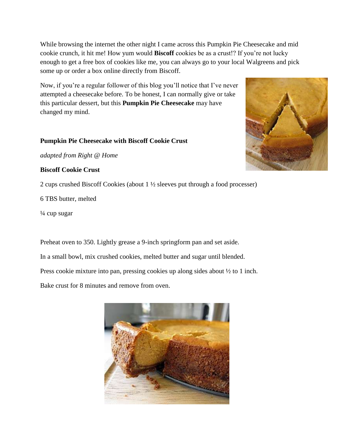While browsing the internet the other night I came across this [Pumpkin Pie Cheesecake](http://www.rightathome.com/Food/Recipes/Pages/PumpkinCheesecakewithGingersnapCrust.aspx) and mid cookie crunch, it hit me! How yum would **Biscoff** cookies be as a crust!? If you're not lucky enough to get a free box of cookies like me, you can always go to your local Walgreens and pick some up or order a box online directly from Biscoff.

Now, if you're a regular follower of this blog you'll notice that I've never attempted a cheesecake before. To be honest, I can normally give or take this particular dessert, but this **Pumpkin Pie Cheesecake** may have changed my mind.

### **Pumpkin Pie Cheesecake with Biscoff Cookie Crust**

*adapted from [Right @ Home](http://www.rightathome.com/Food/Recipes/Pages/PumpkinCheesecakewithGingersnapCrust.aspx)*

#### **Biscoff Cookie Crust**

2 cups crushed Biscoff Cookies (about 1 ½ sleeves put through a food processer)

6 TBS butter, melted

¼ cup sugar

Preheat oven to 350. Lightly grease a 9-inch springform pan and set aside.

In a small bowl, mix crushed cookies, melted butter and sugar until blended.

Press cookie mixture into pan, pressing cookies up along sides about ½ to 1 inch.

Bake crust for 8 minutes and remove from oven.



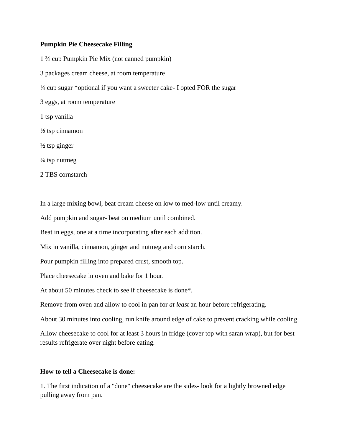#### **Pumpkin Pie Cheesecake Filling**

1 ¾ cup Pumpkin Pie Mix (not canned pumpkin) 3 packages cream cheese, at room temperature ¼ cup sugar \*optional if you want a sweeter cake- I opted FOR the sugar 3 eggs, at room temperature 1 tsp vanilla  $\frac{1}{2}$  tsp cinnamon  $\frac{1}{2}$  tsp ginger  $\frac{1}{4}$  tsp nutmeg 2 TBS cornstarch

In a large mixing bowl, beat cream cheese on low to med-low until creamy.

Add pumpkin and sugar- beat on medium until combined.

Beat in eggs, one at a time incorporating after each addition.

Mix in vanilla, cinnamon, ginger and nutmeg and corn starch.

Pour pumpkin filling into prepared crust, smooth top.

Place cheesecake in oven and bake for 1 hour.

At about 50 minutes check to see if cheesecake is done\*.

Remove from oven and allow to cool in pan for *at least* an hour before refrigerating.

About 30 minutes into cooling, run knife around edge of cake to prevent cracking while cooling.

Allow cheesecake to cool for at least 3 hours in fridge (cover top with saran wrap), but for best results refrigerate over night before eating.

## **How to tell a Cheesecake is done:**

1. The first indication of a "done" cheesecake are the sides- look for a lightly browned edge pulling away from pan.